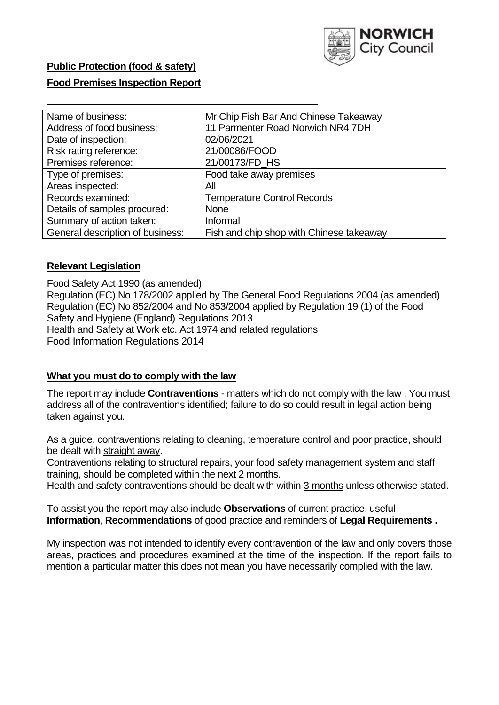

## **Public Protection (food & safety)**

### **Food Premises Inspection Report**

| Name of business:                | Mr Chip Fish Bar And Chinese Takeaway    |
|----------------------------------|------------------------------------------|
| Address of food business:        | 11 Parmenter Road Norwich NR4 7DH        |
| Date of inspection:              | 02/06/2021                               |
| Risk rating reference:           | 21/00086/FOOD                            |
| Premises reference:              | 21/00173/FD_HS                           |
| Type of premises:                | Food take away premises                  |
| Areas inspected:                 | Αll                                      |
| Records examined:                | <b>Temperature Control Records</b>       |
| Details of samples procured:     | <b>None</b>                              |
| Summary of action taken:         | Informal                                 |
| General description of business: | Fish and chip shop with Chinese takeaway |

### **Relevant Legislation**

 Food Safety Act 1990 (as amended) Regulation (EC) No 178/2002 applied by The General Food Regulations 2004 (as amended) Regulation (EC) No 852/2004 and No 853/2004 applied by Regulation 19 (1) of the Food Safety and Hygiene (England) Regulations 2013 Health and Safety at Work etc. Act 1974 and related regulations Food Information Regulations 2014

### **What you must do to comply with the law**

 The report may include **Contraventions** - matters which do not comply with the law . You must address all of the contraventions identified; failure to do so could result in legal action being taken against you.

 As a guide, contraventions relating to cleaning, temperature control and poor practice, should be dealt with straight away.

 Contraventions relating to structural repairs, your food safety management system and staff training, should be completed within the next 2 months.

Health and safety contraventions should be dealt with within 3 months unless otherwise stated.

 To assist you the report may also include **Observations** of current practice, useful **Information**, **Recommendations** of good practice and reminders of **Legal Requirements .** 

 My inspection was not intended to identify every contravention of the law and only covers those areas, practices and procedures examined at the time of the inspection. If the report fails to mention a particular matter this does not mean you have necessarily complied with the law.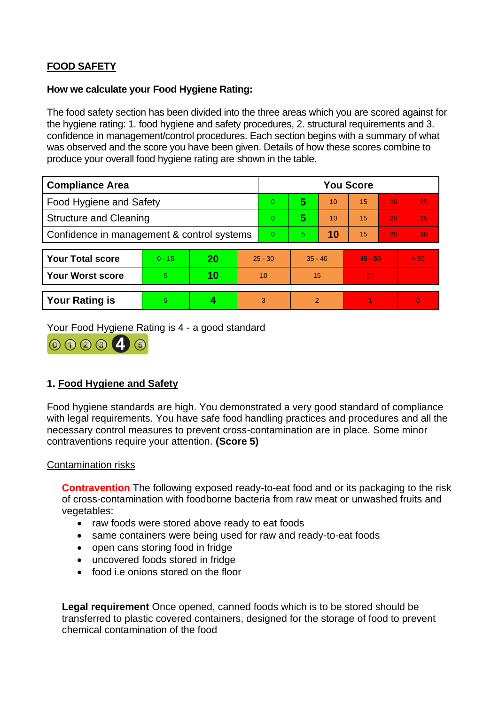# **FOOD SAFETY**

### **How we calculate your Food Hygiene Rating:**

 The food safety section has been divided into the three areas which you are scored against for the hygiene rating: 1. food hygiene and safety procedures, 2. structural requirements and 3. confidence in management/control procedures. Each section begins with a summary of what was observed and the score you have been given. Details of how these scores combine to produce your overall food hygiene rating are shown in the table.

| <b>Compliance Area</b>                     |          |    |           | <b>You Score</b> |                |    |           |    |                |  |  |
|--------------------------------------------|----------|----|-----------|------------------|----------------|----|-----------|----|----------------|--|--|
| <b>Food Hygiene and Safety</b>             |          |    |           | $\overline{0}$   | 5              | 10 | 15        | 20 | 25             |  |  |
| <b>Structure and Cleaning</b>              |          |    | $\Omega$  | 5                | 10             | 15 | 20        | 25 |                |  |  |
| Confidence in management & control systems |          |    | $\Omega$  | 5.               | 10             | 15 | 20        | 30 |                |  |  |
|                                            |          |    |           |                  |                |    |           |    |                |  |  |
| <b>Your Total score</b>                    | $0 - 15$ | 20 | $25 - 30$ |                  | $35 - 40$      |    | $45 - 50$ |    | > 50           |  |  |
| <b>Your Worst score</b>                    | 5        | 10 | 10        |                  | 15             |    | 20        |    |                |  |  |
|                                            |          |    |           |                  |                |    |           |    |                |  |  |
| <b>Your Rating is</b>                      | 5        |    |           | 3                | $\overline{2}$ |    |           |    | $\overline{0}$ |  |  |

Your Food Hygiene Rating is 4 - a good standard



# **1. Food Hygiene and Safety**

 with legal requirements. You have safe food handling practices and procedures and all the Food hygiene standards are high. You demonstrated a very good standard of compliance necessary control measures to prevent cross-contamination are in place. Some minor contraventions require your attention. **(Score 5)** 

### Contamination risks

**Contravention** The following exposed ready-to-eat food and or its packaging to the risk of cross-contamination with foodborne bacteria from raw meat or unwashed fruits and vegetables:

- raw foods were stored above ready to eat foods
- same containers were being used for raw and ready-to-eat foods
- open cans storing food in fridge
- uncovered foods stored in fridge
- food i.e onions stored on the floor

**Legal requirement** Once opened, canned foods which is to be stored should be transferred to plastic covered containers, designed for the storage of food to prevent chemical contamination of the food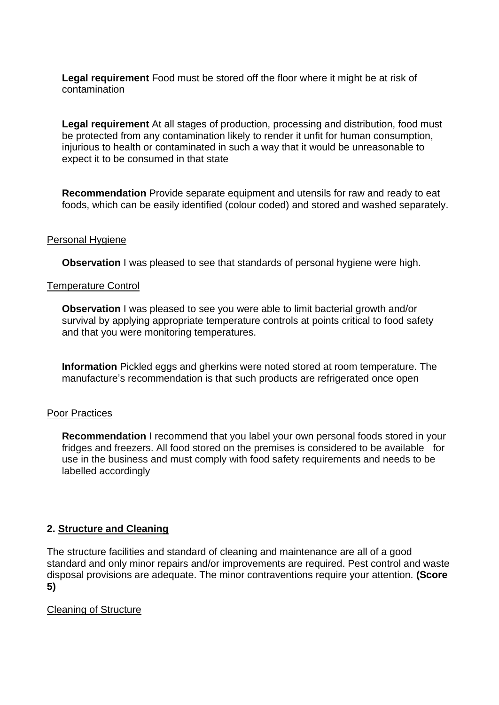**Legal requirement** Food must be stored off the floor where it might be at risk of contamination

 injurious to health or contaminated in such a way that it would be unreasonable to **Legal requirement** At all stages of production, processing and distribution, food must be protected from any contamination likely to render it unfit for human consumption, expect it to be consumed in that state

 foods, which can be easily identified (colour coded) and stored and washed separately. **Recommendation** Provide separate equipment and utensils for raw and ready to eat

### Personal Hygiene

**Observation** I was pleased to see that standards of personal hygiene were high.

### Temperature Control

**Observation** I was pleased to see you were able to limit bacterial growth and/or survival by applying appropriate temperature controls at points critical to food safety and that you were monitoring temperatures.

**Information** Pickled eggs and gherkins were noted stored at room temperature. The manufacture's recommendation is that such products are refrigerated once open

#### Poor Practices

 use in the business and must comply with food safety requirements and needs to be **Recommendation** I recommend that you label your own personal foods stored in your fridges and freezers. All food stored on the premises is considered to be available for labelled accordingly

### **2. Structure and Cleaning**

 The structure facilities and standard of cleaning and maintenance are all of a good standard and only minor repairs and/or improvements are required. Pest control and waste disposal provisions are adequate. The minor contraventions require your attention. **(Score 5)** 

### Cleaning of Structure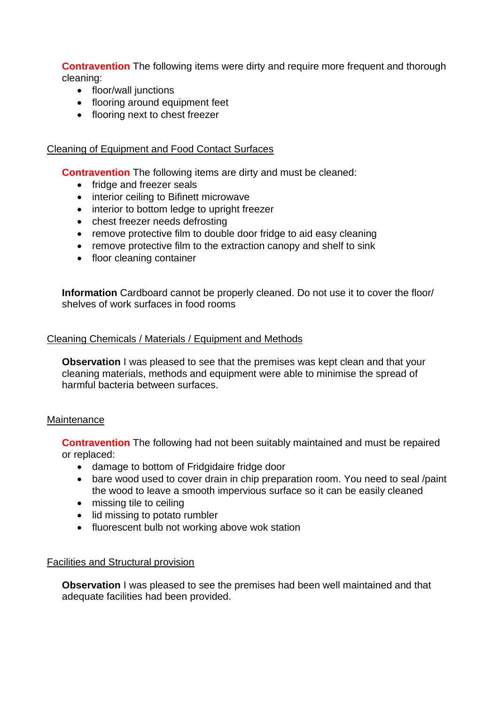**Contravention** The following items were dirty and require more frequent and thorough cleaning:

- floor/wall junctions
- flooring around equipment feet
- flooring next to chest freezer

### Cleaning of Equipment and Food Contact Surfaces

**Contravention** The following items are dirty and must be cleaned:

- fridge and freezer seals
- interior ceiling to Bifinett microwave
- interior to bottom ledge to upright freezer
- chest freezer needs defrosting
- remove protective film to double door fridge to aid easy cleaning
- remove protective film to the extraction canopy and shelf to sink
- floor cleaning container

**Information** Cardboard cannot be properly cleaned. Do not use it to cover the floor/ shelves of work surfaces in food rooms

### Cleaning Chemicals / Materials / Equipment and Methods

**Observation** I was pleased to see that the premises was kept clean and that your cleaning materials, methods and equipment were able to minimise the spread of harmful bacteria between surfaces.

### **Maintenance**

**Contravention** The following had not been suitably maintained and must be repaired or replaced:

- damage to bottom of Fridgidaire fridge door
- the wood to leave a smooth impervious surface so it can be easily cleaned • bare wood used to cover drain in chip preparation room. You need to seal /paint
- missing tile to ceiling
- lid missing to potato rumbler
- fluorescent bulb not working above wok station

### Facilities and Structural provision

 **Observation** I was pleased to see the premises had been well maintained and that adequate facilities had been provided.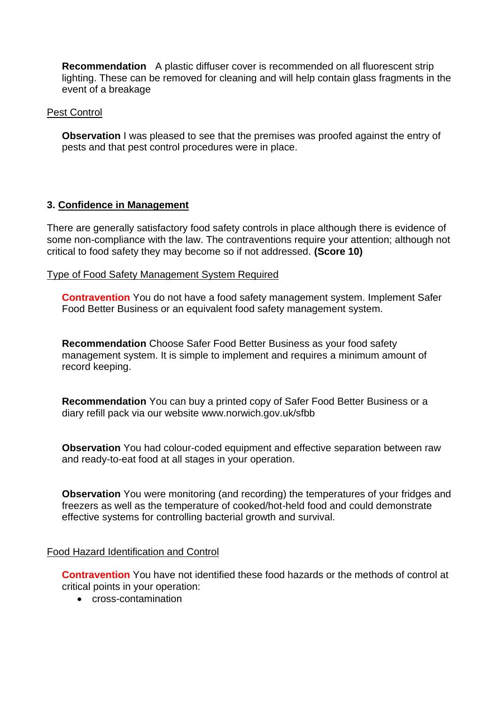**Recommendation** A plastic diffuser cover is recommended on all fluorescent strip lighting. These can be removed for cleaning and will help contain glass fragments in the event of a breakage

#### Pest Control

 **Observation** I was pleased to see that the premises was proofed against the entry of pests and that pest control procedures were in place.

### **3. Confidence in Management**

 There are generally satisfactory food safety controls in place although there is evidence of some non-compliance with the law. The contraventions require your attention; although not critical to food safety they may become so if not addressed. **(Score 10)** 

### Type of Food Safety Management System Required

**Contravention** You do not have a food safety management system. Implement Safer Food Better Business or an equivalent food safety management system.

 management system. It is simple to implement and requires a minimum amount of **Recommendation** Choose Safer Food Better Business as your food safety record keeping.

**Recommendation** You can buy a printed copy of Safer Food Better Business or a diary refill pack via our website <www.norwich.gov.uk/sfbb>

**Observation** You had colour-coded equipment and effective separation between raw and ready-to-eat food at all stages in your operation.

**Observation** You were monitoring (and recording) the temperatures of your fridges and freezers as well as the temperature of cooked/hot-held food and could demonstrate effective systems for controlling bacterial growth and survival.

#### Food Hazard Identification and Control

**Contravention** You have not identified these food hazards or the methods of control at critical points in your operation:

• cross-contamination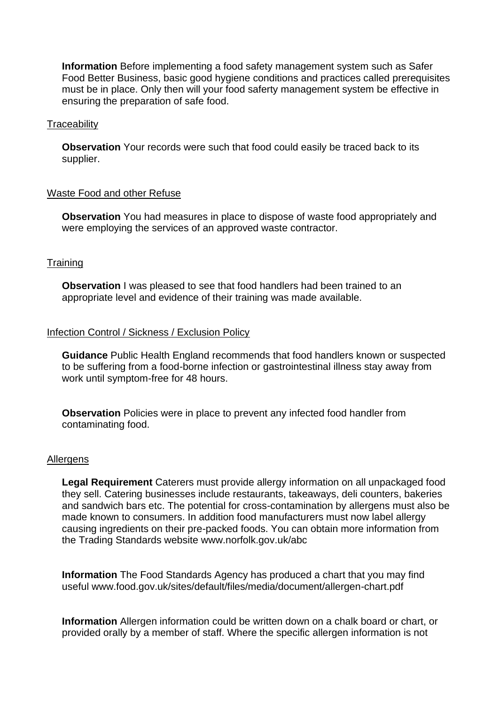**Information** Before implementing a food safety management system such as Safer Food Better Business, basic good hygiene conditions and practices called prerequisites must be in place. Only then will your food saferty management system be effective in ensuring the preparation of safe food.

#### **Traceability**

**Observation** Your records were such that food could easily be traced back to its supplier.

### Waste Food and other Refuse

 **Observation** You had measures in place to dispose of waste food appropriately and were employing the services of an approved waste contractor.

### **Training**

**Observation** I was pleased to see that food handlers had been trained to an appropriate level and evidence of their training was made available.

#### Infection Control / Sickness / Exclusion Policy

**Guidance** Public Health England recommends that food handlers known or suspected to be suffering from a food-borne infection or gastrointestinal illness stay away from work until symptom-free for 48 hours.

**Observation** Policies were in place to prevent any infected food handler from contaminating food.

#### Allergens

 **Legal Requirement** Caterers must provide allergy information on all unpackaged food they sell. Catering businesses include restaurants, takeaways, deli counters, bakeries causing ingredients on their pre-packed foods. You can obtain more information from the Trading Standards website<www.norfolk.gov.uk/abc> and sandwich bars etc. The potential for cross-contamination by allergens must also be made known to consumers. In addition food manufacturers must now label allergy

 **Information** The Food Standards Agency has produced a chart that you may find useful <www.food.gov.uk/sites/default/files/media/document/allergen-chart.pdf>

 **Information** Allergen information could be written down on a chalk board or chart, or provided orally by a member of staff. Where the specific allergen information is not